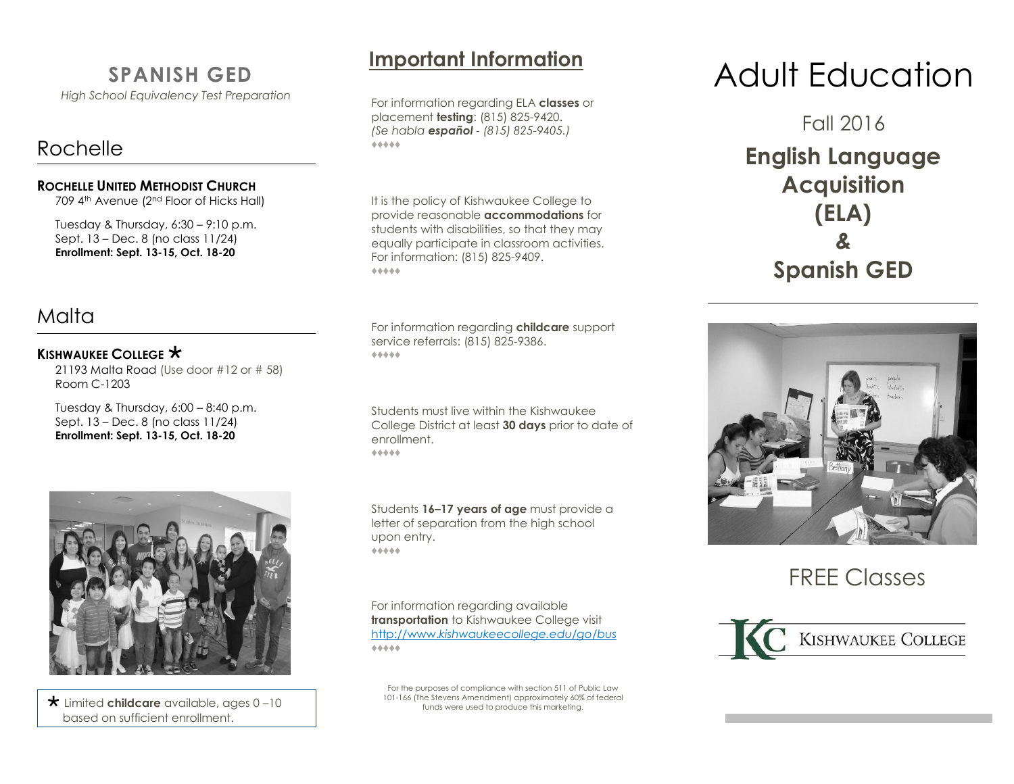# **SPANISH GED**

*High School Equivalency Test Preparation*

# Rochelle

#### **ROCHELLE UNITED METHODIST CHURCH**

709 4<sup>th</sup> Avenue (2<sup>nd</sup> Floor of Hicks Hall)

Tuesday & Thursday,  $6:30 - 9:10$  p.m. Sept. 13 – Dec. 8 (no class 11/24) **Enrollment: Sept. 13-15, Oct. 18-20**

# Malta

#### **KISHWAUKEE COLLEGE**  $\star$

21193 Malta Road (Use door #12 or # 58) Room C-1203

Tuesday & Thursday,  $6:00 - 8:40$  p.m. Sept. 13 – Dec. 8 (no class 11/24) **Enrollment: Sept. 13-15, Oct. 18-20**



 Limited **childcare** available, ages 0 –10 based on sufficient enrollment.

For information regarding ELA **classes** or placement **testing**: (815) 825-9420. *(Se habla español - (815) 825-9405.)* ♦♦♦♦♦

It is the policy of Kishwaukee College to provide reasonable **accommodations** for students with disabilities, so that they may equally participate in classroom activities. For information: (815) 825-9409. ♦♦♦♦♦

For information regarding **childcare** support service referrals: (815) 825-9386. ♦♦♦♦♦

Students must live within the Kishwaukee College District at least **30 days** prior to date of enrollment. ♦♦♦♦♦

Students **16–17 years of age** must provide a letter of separation from the high school upon entry. ♦♦♦♦♦

For information regarding available **transportation** to Kishwaukee College visit http://www.*[kishwaukeecollege.edu/go/bus](http://www.kishwaukeecollege.edu/go/bus)*  ♦♦♦♦♦

For the purposes of compliance with section 511 of Public Law 101-166 (The Stevens Amendment) approximately 60% of federal funds were used to produce this marketing.

# **Important Information** Adult Education

Fall 2016

**English Language Acquisition (ELA)** *&* **Spanish GED**



FREE Classes